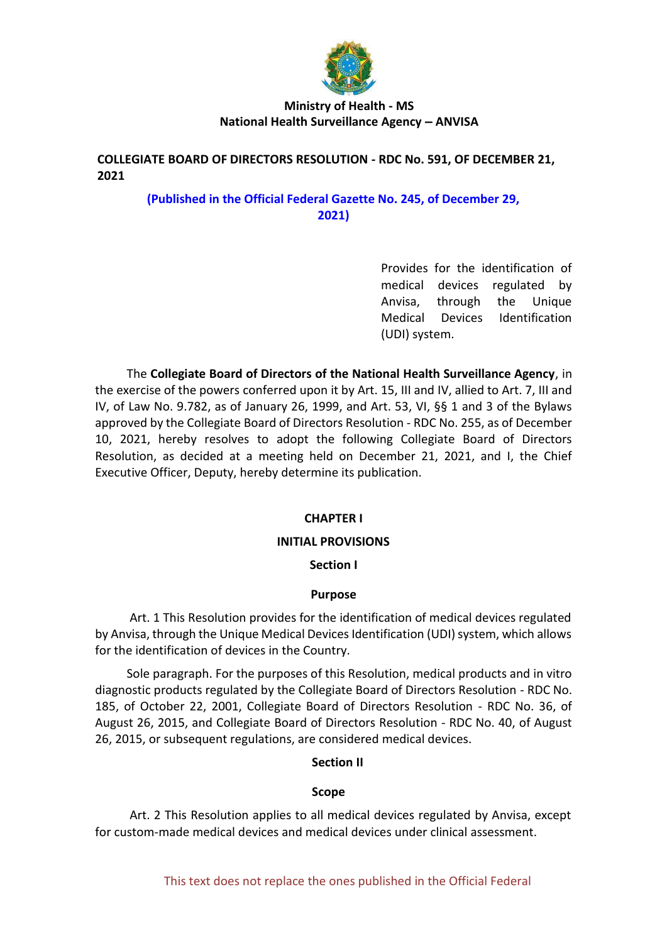

# **COLLEGIATE BOARD OF DIRECTORS RESOLUTION - RDC No. 591, OF DECEMBER 21, 2021**

# **(Published in the Official Federal Gazette No. 245, of December 29, 2021)**

Provides for the identification of medical devices regulated by Anvisa, through the Unique Medical Devices Identification (UDI) system.

The **Collegiate Board of Directors of the National Health Surveillance Agency**, in the exercise of the powers conferred upon it by Art. 15, III and IV, allied to Art. 7, III and IV, of Law No. 9.782, as of January 26, 1999, and Art. 53, VI, §§ 1 and 3 of the Bylaws approved by the Collegiate Board of Directors Resolution - RDC No. 255, as of December 10, 2021, hereby resolves to adopt the following Collegiate Board of Directors Resolution, as decided at a meeting held on December 21, 2021, and I, the Chief Executive Officer, Deputy, hereby determine its publication.

# **CHAPTER I**

### **INITIAL PROVISIONS**

### **Section I**

### **Purpose**

Art. 1 This Resolution provides for the identification of medical devices regulated by Anvisa, through the Unique Medical Devices Identification (UDI) system, which allows for the identification of devices in the Country.

Sole paragraph. For the purposes of this Resolution, medical products and in vitro diagnostic products regulated by the Collegiate Board of Directors Resolution - RDC No. 185, of October 22, 2001, Collegiate Board of Directors Resolution - RDC No. 36, of August 26, 2015, and Collegiate Board of Directors Resolution - RDC No. 40, of August 26, 2015, or subsequent regulations, are considered medical devices.

### **Section II**

#### **Scope**

Art. 2 This Resolution applies to all medical devices regulated by Anvisa, except for custom-made medical devices and medical devices under clinical assessment.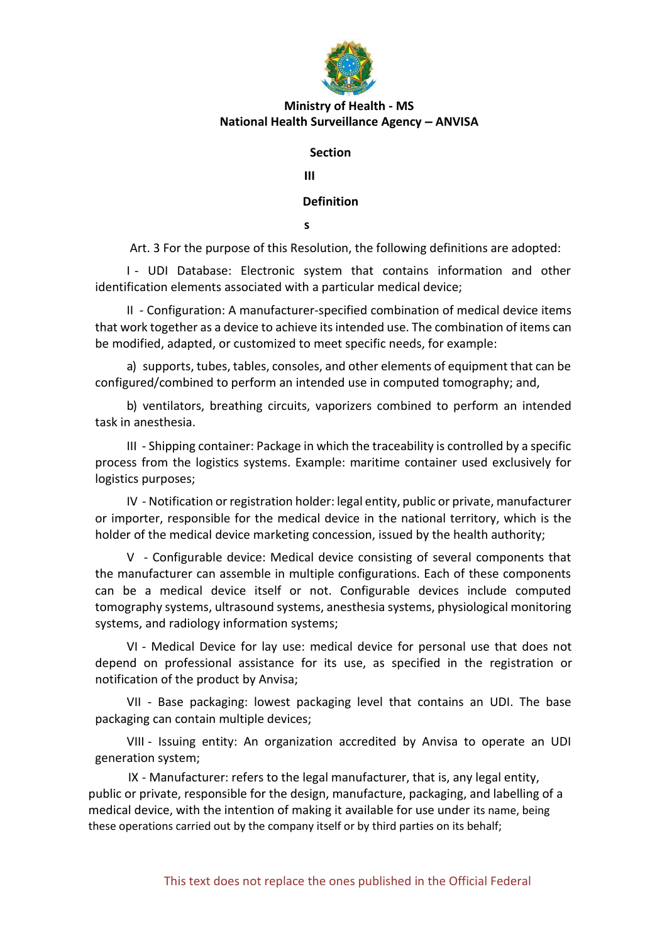

#### **Section**

**III**

**Definition**

**s**

Art. 3 For the purpose of this Resolution, the following definitions are adopted:

I - UDI Database: Electronic system that contains information and other identification elements associated with a particular medical device;

II - Configuration: A manufacturer-specified combination of medical device items that work together as a device to achieve its intended use. The combination of items can be modified, adapted, or customized to meet specific needs, for example:

a) supports, tubes, tables, consoles, and other elements of equipment that can be configured/combined to perform an intended use in computed tomography; and,

b) ventilators, breathing circuits, vaporizers combined to perform an intended task in anesthesia.

III - Shipping container: Package in which the traceability is controlled by a specific process from the logistics systems. Example: maritime container used exclusively for logistics purposes;

IV - Notification or registration holder: legal entity, public or private, manufacturer or importer, responsible for the medical device in the national territory, which is the holder of the medical device marketing concession, issued by the health authority;

V - Configurable device: Medical device consisting of several components that the manufacturer can assemble in multiple configurations. Each of these components can be a medical device itself or not. Configurable devices include computed tomography systems, ultrasound systems, anesthesia systems, physiological monitoring systems, and radiology information systems;

VI - Medical Device for lay use: medical device for personal use that does not depend on professional assistance for its use, as specified in the registration or notification of the product by Anvisa;

VII - Base packaging: lowest packaging level that contains an UDI. The base packaging can contain multiple devices;

VIII - Issuing entity: An organization accredited by Anvisa to operate an UDI generation system;

IX - Manufacturer: refers to the legal manufacturer, that is, any legal entity, public or private, responsible for the design, manufacture, packaging, and labelling of a medical device, with the intention of making it available for use under its name, being these operations carried out by the company itself or by third parties on its behalf;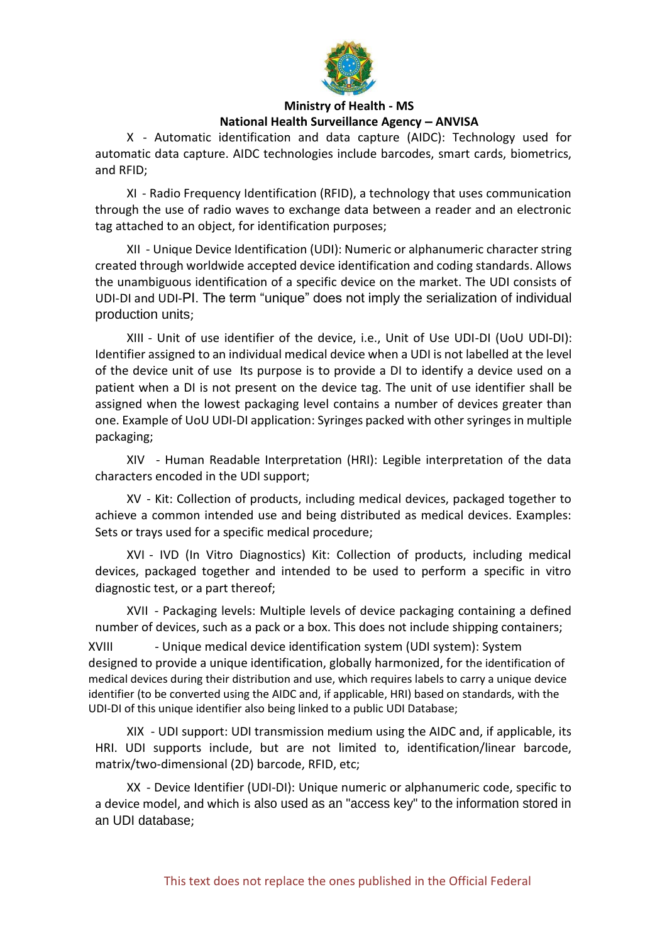

X - Automatic identification and data capture (AIDC): Technology used for automatic data capture. AIDC technologies include barcodes, smart cards, biometrics, and RFID;

XI - Radio Frequency Identification (RFID), a technology that uses communication through the use of radio waves to exchange data between a reader and an electronic tag attached to an object, for identification purposes;

XII - Unique Device Identification (UDI): Numeric or alphanumeric character string created through worldwide accepted device identification and coding standards. Allows the unambiguous identification of a specific device on the market. The UDI consists of UDI-DI and UDI-PI. The term "unique" does not imply the serialization of individual production units;

XIII - Unit of use identifier of the device, i.e., Unit of Use UDI-DI (UoU UDI-DI): Identifier assigned to an individual medical device when a UDI is not labelled at the level of the device unit of use Its purpose is to provide a DI to identify a device used on a patient when a DI is not present on the device tag. The unit of use identifier shall be assigned when the lowest packaging level contains a number of devices greater than one. Example of UoU UDI-DI application: Syringes packed with other syringes in multiple packaging;

XIV - Human Readable Interpretation (HRI): Legible interpretation of the data characters encoded in the UDI support;

XV - Kit: Collection of products, including medical devices, packaged together to achieve a common intended use and being distributed as medical devices. Examples: Sets or trays used for a specific medical procedure;

XVI - IVD (In Vitro Diagnostics) Kit: Collection of products, including medical devices, packaged together and intended to be used to perform a specific in vitro diagnostic test, or a part thereof;

XVII - Packaging levels: Multiple levels of device packaging containing a defined number of devices, such as a pack or a box. This does not include shipping containers;

XVIII - Unique medical device identification system (UDI system): System designed to provide a unique identification, globally harmonized, for the identification of medical devices during their distribution and use, which requires labels to carry a unique device identifier (to be converted using the AIDC and, if applicable, HRI) based on standards, with the UDI-DI of this unique identifier also being linked to a public UDI Database;

XIX - UDI support: UDI transmission medium using the AIDC and, if applicable, its HRI. UDI supports include, but are not limited to, identification/linear barcode, matrix/two-dimensional (2D) barcode, RFID, etc;

XX - Device Identifier (UDI-DI): Unique numeric or alphanumeric code, specific to a device model, and which is also used as an "access key" to the information stored in an UDI database;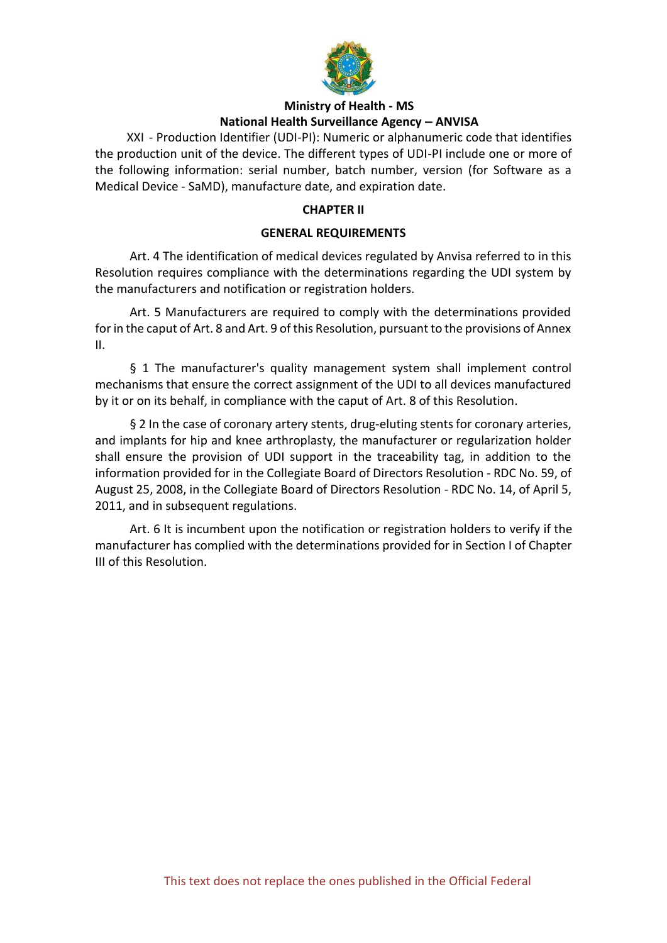

XXI - Production Identifier (UDI-PI): Numeric or alphanumeric code that identifies the production unit of the device. The different types of UDI-PI include one or more of the following information: serial number, batch number, version (for Software as a Medical Device - SaMD), manufacture date, and expiration date.

### **CHAPTER II**

### **GENERAL REQUIREMENTS**

Art. 4 The identification of medical devices regulated by Anvisa referred to in this Resolution requires compliance with the determinations regarding the UDI system by the manufacturers and notification or registration holders.

Art. 5 Manufacturers are required to comply with the determinations provided for in the caput of Art. 8 and Art. 9 of this Resolution, pursuant to the provisions of Annex II.

§ 1 The manufacturer's quality management system shall implement control mechanisms that ensure the correct assignment of the UDI to all devices manufactured by it or on its behalf, in compliance with the caput of Art. 8 of this Resolution.

§ 2 In the case of coronary artery stents, drug-eluting stents for coronary arteries, and implants for hip and knee arthroplasty, the manufacturer or regularization holder shall ensure the provision of UDI support in the traceability tag, in addition to the information provided for in the Collegiate Board of Directors Resolution - RDC No. 59, of August 25, 2008, in the Collegiate Board of Directors Resolution - RDC No. 14, of April 5, 2011, and in subsequent regulations.

Art. 6 It is incumbent upon the notification or registration holders to verify if the manufacturer has complied with the determinations provided for in Section I of Chapter III of this Resolution.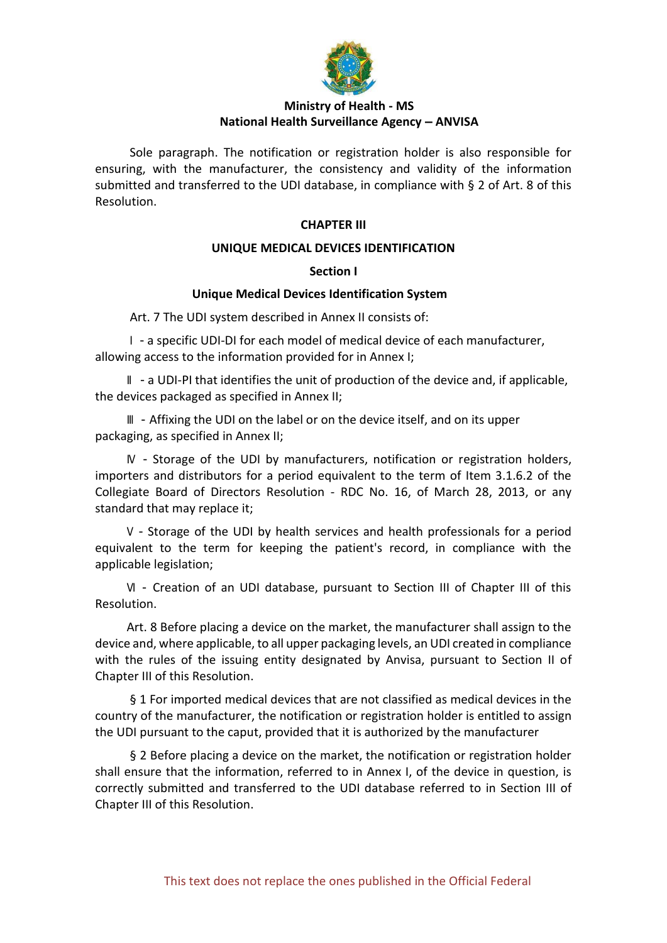

Sole paragraph. The notification or registration holder is also responsible for ensuring, with the manufacturer, the consistency and validity of the information submitted and transferred to the UDI database, in compliance with § 2 of Art. 8 of this Resolution.

### **CHAPTER III**

### **UNIQUE MEDICAL DEVICES IDENTIFICATION**

### **Section I**

### **Unique Medical Devices Identification System**

Art. 7 The UDI system described in Annex II consists of:

I - a specific UDI-DI for each model of medical device of each manufacturer, allowing access to the information provided for in Annex I;

II - a UDI-PI that identifies the unit of production of the device and, if applicable, the devices packaged as specified in Annex II;

III - Affixing the UDI on the label or on the device itself, and on its upper packaging, as specified in Annex II;

IV - Storage of the UDI by manufacturers, notification or registration holders, importers and distributors for a period equivalent to the term of Item 3.1.6.2 of the Collegiate Board of Directors Resolution - RDC No. 16, of March 28, 2013, or any standard that may replace it;

V - Storage of the UDI by health services and health professionals for a period equivalent to the term for keeping the patient's record, in compliance with the applicable legislation;

VI - Creation of an UDI database, pursuant to Section III of Chapter III of this Resolution.

Art. 8 Before placing a device on the market, the manufacturer shall assign to the device and, where applicable, to all upper packaging levels, an UDI created in compliance with the rules of the issuing entity designated by Anvisa, pursuant to Section II of Chapter III of this Resolution.

§ 1 For imported medical devices that are not classified as medical devices in the country of the manufacturer, the notification or registration holder is entitled to assign the UDI pursuant to the caput, provided that it is authorized by the manufacturer

§ 2 Before placing a device on the market, the notification or registration holder shall ensure that the information, referred to in Annex I, of the device in question, is correctly submitted and transferred to the UDI database referred to in Section III of Chapter III of this Resolution.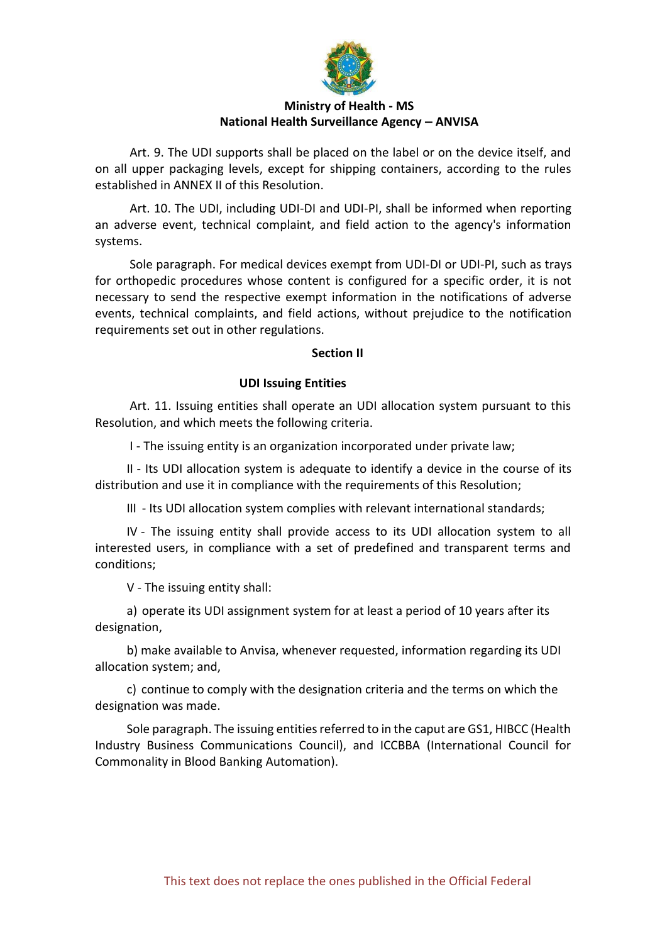

Art. 9. The UDI supports shall be placed on the label or on the device itself, and on all upper packaging levels, except for shipping containers, according to the rules established in ANNEX II of this Resolution.

Art. 10. The UDI, including UDI-DI and UDI-PI, shall be informed when reporting an adverse event, technical complaint, and field action to the agency's information systems.

Sole paragraph. For medical devices exempt from UDI-DI or UDI-PI, such as trays for orthopedic procedures whose content is configured for a specific order, it is not necessary to send the respective exempt information in the notifications of adverse events, technical complaints, and field actions, without prejudice to the notification requirements set out in other regulations.

### **Section II**

### **UDI Issuing Entities**

Art. 11. Issuing entities shall operate an UDI allocation system pursuant to this Resolution, and which meets the following criteria.

I - The issuing entity is an organization incorporated under private law;

II - Its UDI allocation system is adequate to identify a device in the course of its distribution and use it in compliance with the requirements of this Resolution;

III - Its UDI allocation system complies with relevant international standards;

IV - The issuing entity shall provide access to its UDI allocation system to all interested users, in compliance with a set of predefined and transparent terms and conditions;

V - The issuing entity shall:

a) operate its UDI assignment system for at least a period of 10 years after its designation,

b) make available to Anvisa, whenever requested, information regarding its UDI allocation system; and,

c) continue to comply with the designation criteria and the terms on which the designation was made.

Sole paragraph. The issuing entities referred to in the caput are GS1, HIBCC (Health Industry Business Communications Council), and ICCBBA (International Council for Commonality in Blood Banking Automation).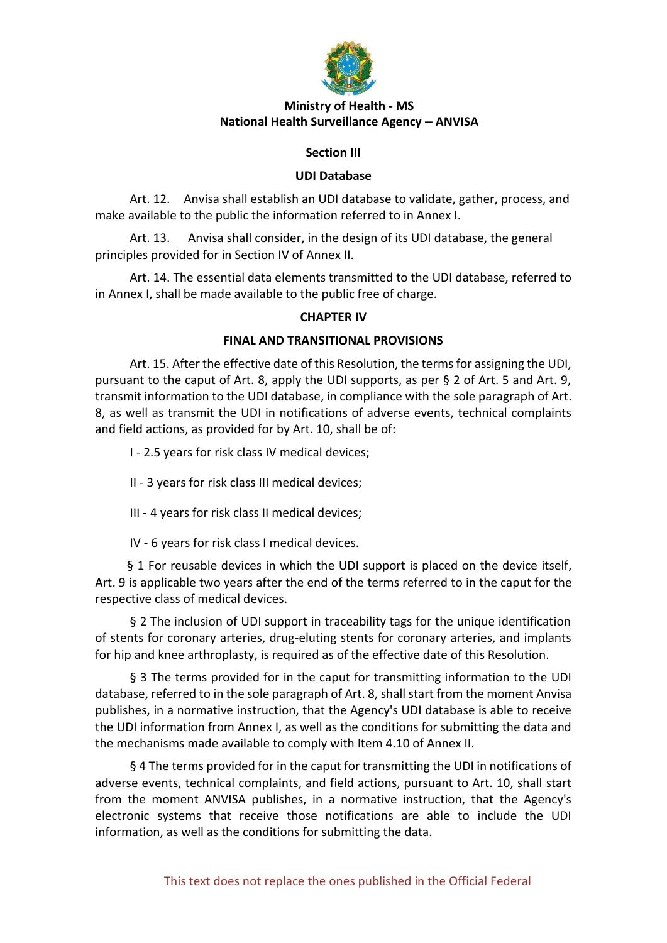

### **Section III**

### **UDI Database**

Art. 12. Anvisa shall establish an UDI database to validate, gather, process, and make available to the public the information referred to in Annex I.

Art. 13. Anvisa shall consider, in the design of its UDI database, the general principles provided for in Section IV of Annex II.

Art. 14. The essential data elements transmitted to the UDI database, referred to in Annex I, shall be made available to the public free of charge.

### **CHAPTER IV**

### **FINAL AND TRANSITIONAL PROVISIONS**

Art. 15. After the effective date of this Resolution, the terms for assigning the UDI, pursuant to the caput of Art. 8, apply the UDI supports, as per § 2 of Art. 5 and Art. 9, transmit information to the UDI database, in compliance with the sole paragraph of Art. 8, as well as transmit the UDI in notifications of adverse events, technical complaints and field actions, as provided for by Art. 10, shall be of:

I - 2.5 years for risk class IV medical devices;

II - 3 years for risk class III medical devices;

III - 4 years for risk class II medical devices;

IV - 6 years for risk class I medical devices.

§ 1 For reusable devices in which the UDI support is placed on the device itself, Art. 9 is applicable two years after the end of the terms referred to in the caput for the respective class of medical devices.

§ 2 The inclusion of UDI support in traceability tags for the unique identification of stents for coronary arteries, drug-eluting stents for coronary arteries, and implants for hip and knee arthroplasty, is required as of the effective date of this Resolution.

§ 3 The terms provided for in the caput for transmitting information to the UDI database, referred to in the sole paragraph of Art. 8, shall start from the moment Anvisa publishes, in a normative instruction, that the Agency's UDI database is able to receive the UDI information from Annex I, as well as the conditions for submitting the data and the mechanisms made available to comply with Item 4.10 of Annex II.

§ 4 The terms provided for in the caput for transmitting the UDI in notifications of adverse events, technical complaints, and field actions, pursuant to Art. 10, shall start from the moment ANVISA publishes, in a normative instruction, that the Agency's electronic systems that receive those notifications are able to include the UDI information, as well as the conditions for submitting the data.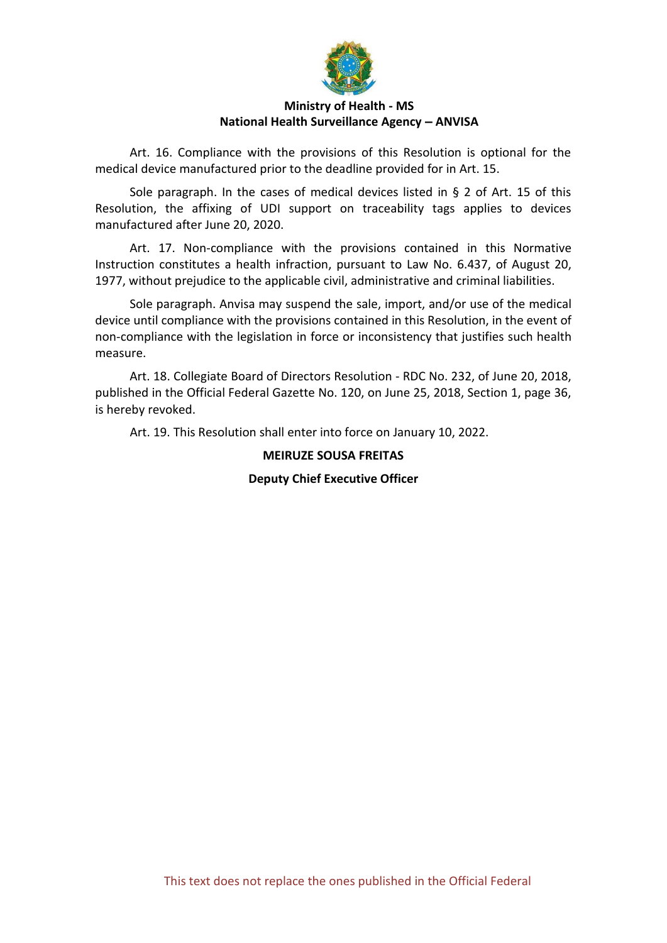

Art. 16. Compliance with the provisions of this Resolution is optional for the medical device manufactured prior to the deadline provided for in Art. 15.

Sole paragraph. In the cases of medical devices listed in § 2 of Art. 15 of this Resolution, the affixing of UDI support on traceability tags applies to devices manufactured after June 20, 2020.

Art. 17. Non-compliance with the provisions contained in this Normative Instruction constitutes a health infraction, pursuant to Law No. 6.437, of August 20, 1977, without prejudice to the applicable civil, administrative and criminal liabilities.

Sole paragraph. Anvisa may suspend the sale, import, and/or use of the medical device until compliance with the provisions contained in this Resolution, in the event of non-compliance with the legislation in force or inconsistency that justifies such health measure.

Art. 18. Collegiate Board of Directors Resolution - RDC No. 232, of June 20, 2018, published in the Official Federal Gazette No. 120, on June 25, 2018, Section 1, page 36, is hereby revoked.

Art. 19. This Resolution shall enter into force on January 10, 2022.

### **MEIRUZE SOUSA FREITAS**

### **Deputy Chief Executive Officer**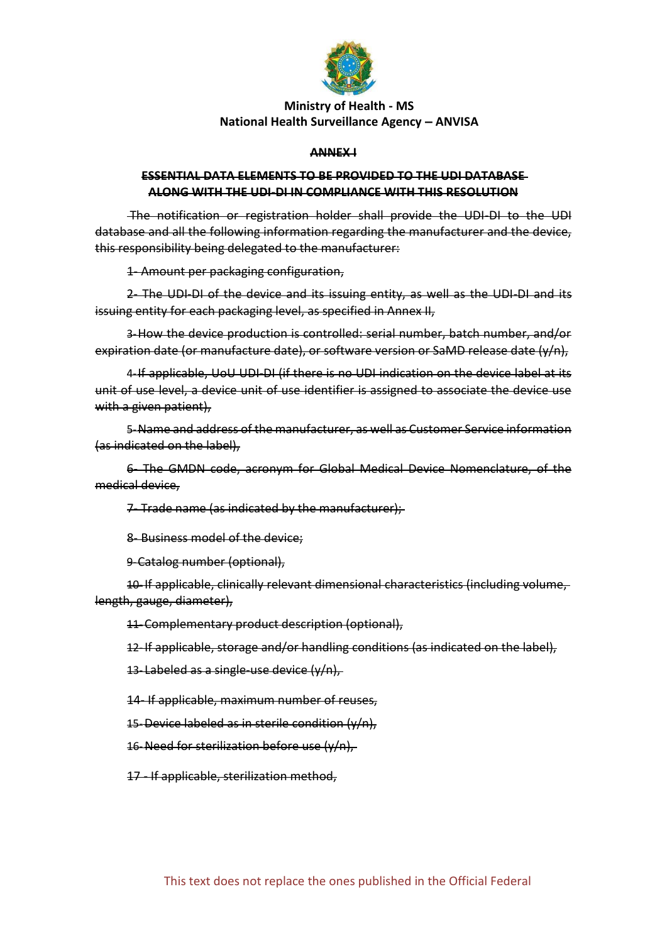

#### **ANNEX I**

### **ESSENTIAL DATA ELEMENTS TO BE PROVIDED TO THE UDI DATABASE ALONG WITH THE UDI-DI IN COMPLIANCE WITH THIS RESOLUTION**

The notification or registration holder shall provide the UDI-DI to the UDI database and all the following information regarding the manufacturer and the device, this responsibility being delegated to the manufacturer:

1- Amount per packaging configuration,

2- The UDI-DI of the device and its issuing entity, as well as the UDI-DI and its issuing entity for each packaging level, as specified in Annex II,

3-How the device production is controlled: serial number, batch number, and/or expiration date (or manufacture date), or software version or SaMD release date (y/n),

4-If applicable, UoU UDI-DI (if there is no UDI indication on the device label at its unit of use level, a device unit of use identifier is assigned to associate the device use with a given patient),

5-Name and address of the manufacturer, as well as Customer Service information (as indicated on the label),

6- The GMDN code, acronym for Global Medical Device Nomenclature, of the medical device,

7- Trade name (as indicated by the manufacturer);

8- Business model of the device;

9-Catalog number (optional),

10-If applicable, clinically relevant dimensional characteristics (including volume, length, gauge, diameter),

11-Complementary product description (optional),

12-If applicable, storage and/or handling conditions (as indicated on the label),

13- Labeled as a single-use device (y/n),

14- If applicable, maximum number of reuses,

15-Device labeled as in sterile condition  $(y/n)$ ,

16-Need for sterilization before use (y/n),

17 - If applicable, sterilization method,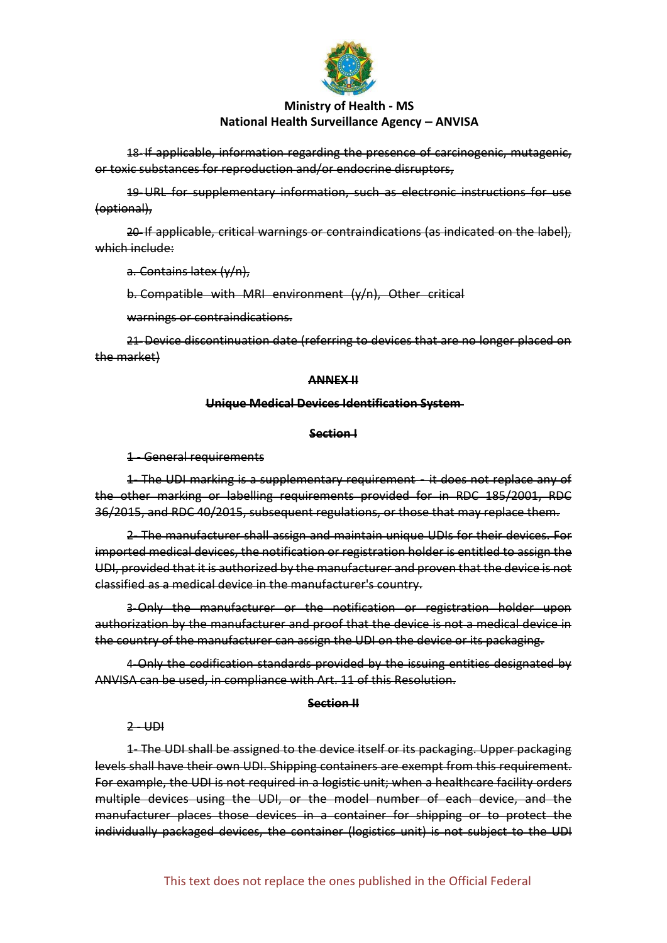

18-If applicable, information regarding the presence of carcinogenic, mutagenic, or toxic substances for reproduction and/or endocrine disruptors,

19-URL for supplementary information, such as electronic instructions for use (optional),

20-If applicable, critical warnings or contraindications (as indicated on the label), which include:

a. Contains latex (y/n),

b. Compatible with MRI environment (y/n), Other critical

warnings or contraindications.

21-Device discontinuation date (referring to devices that are no longer placed on the market)

#### **ANNEX II**

#### **Unique Medical Devices Identification System**

#### **Section I**

1 - General requirements

1- The UDI marking is a supplementary requirement - it does not replace any of the other marking or labelling requirements provided for in RDC 185/2001, RDC 36/2015, and RDC 40/2015, subsequent regulations, or those that may replace them.

2- The manufacturer shall assign and maintain unique UDIs for their devices. For imported medical devices, the notification or registration holder is entitled to assign the UDI, provided that it is authorized by the manufacturer and proven that the device is not classified as a medical device in the manufacturer's country.

3-Only the manufacturer or the notification or registration holder upon authorization by the manufacturer and proof that the device is not a medical device in the country of the manufacturer can assign the UDI on the device or its packaging.

4-Only the codification standards provided by the issuing entities designated by ANVISA can be used, in compliance with Art. 11 of this Resolution.

#### **Section II**

 $2 - UDI$ 

1- The UDI shall be assigned to the device itself or its packaging. Upper packaging levels shall have their own UDI. Shipping containers are exempt from this requirement. For example, the UDI is not required in a logistic unit; when a healthcare facility orders multiple devices using the UDI, or the model number of each device, and the manufacturer places those devices in a container for shipping or to protect the individually packaged devices, the container (logistics unit) is not subject to the UDI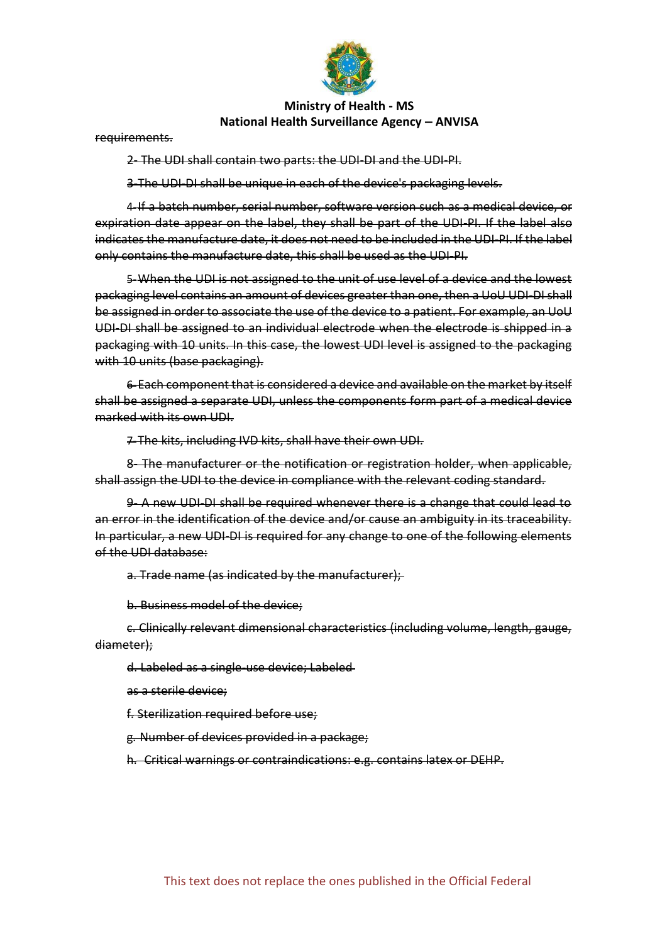

requirements.

2- The UDI shall contain two parts: the UDI-DI and the UDI-PI.

3-The UDI-DI shall be unique in each of the device's packaging levels.

4-If a batch number, serial number, software version such as a medical device, or expiration date appear on the label, they shall be part of the UDI-PI. If the label also indicates the manufacture date, it does not need to be included in the UDI-PI. If the label only contains the manufacture date, this shall be used as the UDI-PI.

5-When the UDI is not assigned to the unit of use level of a device and the lowest packaging level contains an amount of devices greater than one, then a UoU UDI-DI shall be assigned in order to associate the use of the device to a patient. For example, an UoU UDI-DI shall be assigned to an individual electrode when the electrode is shipped in a packaging with 10 units. In this case, the lowest UDI level is assigned to the packaging with 10 units (base packaging).

6-Each component that is considered a device and available on the market by itself shall be assigned a separate UDI, unless the components form part of a medical device marked with its own UDI.

7-The kits, including IVD kits, shall have their own UDI.

8- The manufacturer or the notification or registration holder, when applicable, shall assign the UDI to the device in compliance with the relevant coding standard.

9- A new UDI-DI shall be required whenever there is a change that could lead to an error in the identification of the device and/or cause an ambiguity in its traceability. In particular, a new UDI-DI is required for any change to one of the following elements of the UDI database:

a. Trade name (as indicated by the manufacturer);

b. Business model of the device;

c. Clinically relevant dimensional characteristics (including volume, length, gauge, diameter);

d. Labeled as a single-use device; Labeled

as a sterile device;

f. Sterilization required before use;

g. Number of devices provided in a package;

h. Critical warnings or contraindications: e.g. contains latex or DEHP.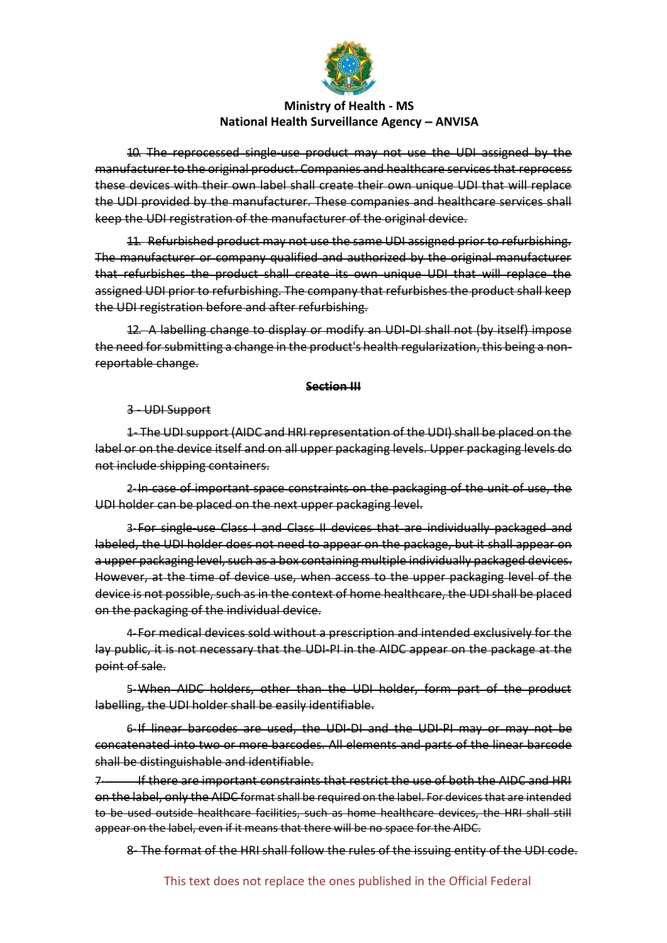

10. The reprocessed single-use product may not use the UDI assigned by the manufacturer to the original product. Companies and healthcare services that reprocess these devices with their own label shall create their own unique UDI that will replace the UDI provided by the manufacturer. These companies and healthcare services shall keep the UDI registration of the manufacturer of the original device.

11. Refurbished product may not use the same UDI assigned prior to refurbishing. The manufacturer or company qualified and authorized by the original manufacturer that refurbishes the product shall create its own unique UDI that will replace the assigned UDI prior to refurbishing. The company that refurbishes the product shall keep the UDI registration before and after refurbishing.

12. A labelling change to display or modify an UDI-DI shall not (by itself) impose the need for submitting a change in the product's health regularization, this being a nonreportable change.

#### **Section III**

3 - UDI Support

1- The UDI support (AIDC and HRI representation of the UDI) shall be placed on the label or on the device itself and on all upper packaging levels. Upper packaging levels do not include shipping containers.

2-In case of important space constraints on the packaging of the unit of use, the UDI holder can be placed on the next upper packaging level.

3-For single-use Class I and Class II devices that are individually packaged and labeled, the UDI holder does not need to appear on the package, but it shall appear on a upper packaging level, such as a box containing multiple individually packaged devices. However, at the time of device use, when access to the upper packaging level of the device is not possible, such as in the context of home healthcare, the UDI shall be placed on the packaging of the individual device.

4-For medical devices sold without a prescription and intended exclusively for the lay public, it is not necessary that the UDI-PI in the AIDC appear on the package at the point of sale.

5-When AIDC holders, other than the UDI holder, form part of the product labelling, the UDI holder shall be easily identifiable.

6-If linear barcodes are used, the UDI-DI and the UDI-PI may or may not be concatenated into two or more barcodes. All elements and parts of the linear barcode shall be distinguishable and identifiable.

7- If there are important constraints that restrict the use of both the AIDC and HRI on the label, only the AIDC format shall be required on the label. For devices that are intended to be used outside healthcare facilities, such as home healthcare devices, the HRI shall still appear on the label, even if it means that there will be no space for the AIDC.

8- The format of the HRI shall follow the rules of the issuing entity of the UDI code.

This text does not replace the ones published in the Official Federal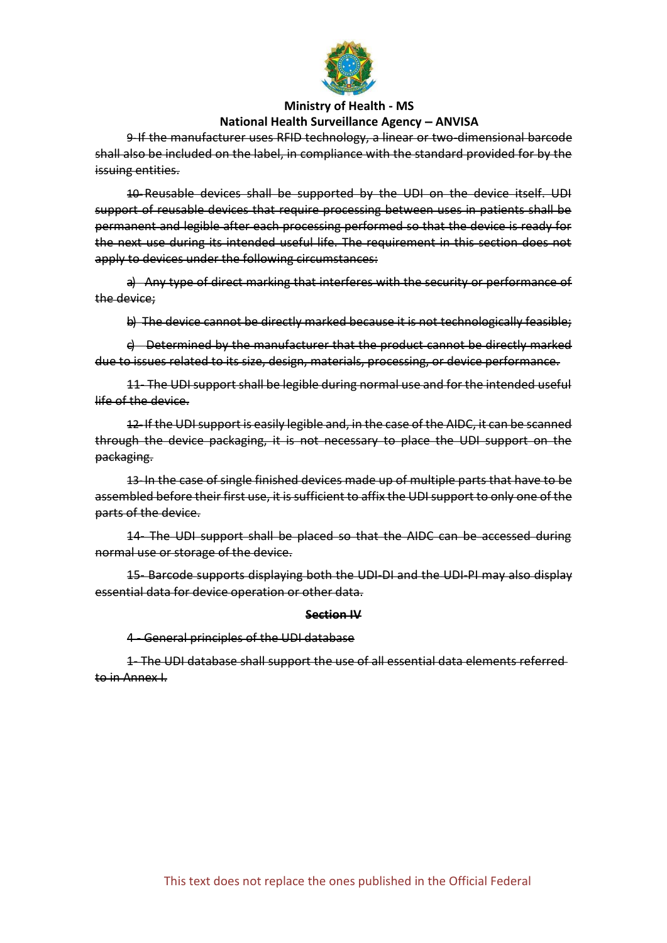

9-If the manufacturer uses RFID technology, a linear or two-dimensional barcode shall also be included on the label, in compliance with the standard provided for by the issuing entities.

10-Reusable devices shall be supported by the UDI on the device itself. UDI support of reusable devices that require processing between uses in patients shall be permanent and legible after each processing performed so that the device is ready for the next use during its intended useful life. The requirement in this section does not apply to devices under the following circumstances:

a) Any type of direct marking that interferes with the security or performance of the device;

b) The device cannot be directly marked because it is not technologically feasible;

c) Determined by the manufacturer that the product cannot be directly marked due to issues related to its size, design, materials, processing, or device performance.

11- The UDI support shall be legible during normal use and for the intended useful life of the device.

12-If the UDI support is easily legible and, in the case of the AIDC, it can be scanned through the device packaging, it is not necessary to place the UDI support on the packaging.

13-In the case of single finished devices made up of multiple parts that have to be assembled before their first use, it is sufficient to affix the UDI support to only one of the parts of the device.

14- The UDI support shall be placed so that the AIDC can be accessed during normal use or storage of the device.

15- Barcode supports displaying both the UDI-DI and the UDI-PI may also display essential data for device operation or other data.

#### **Section IV**

4 - General principles of the UDI database

1- The UDI database shall support the use of all essential data elements referred to in Annex I.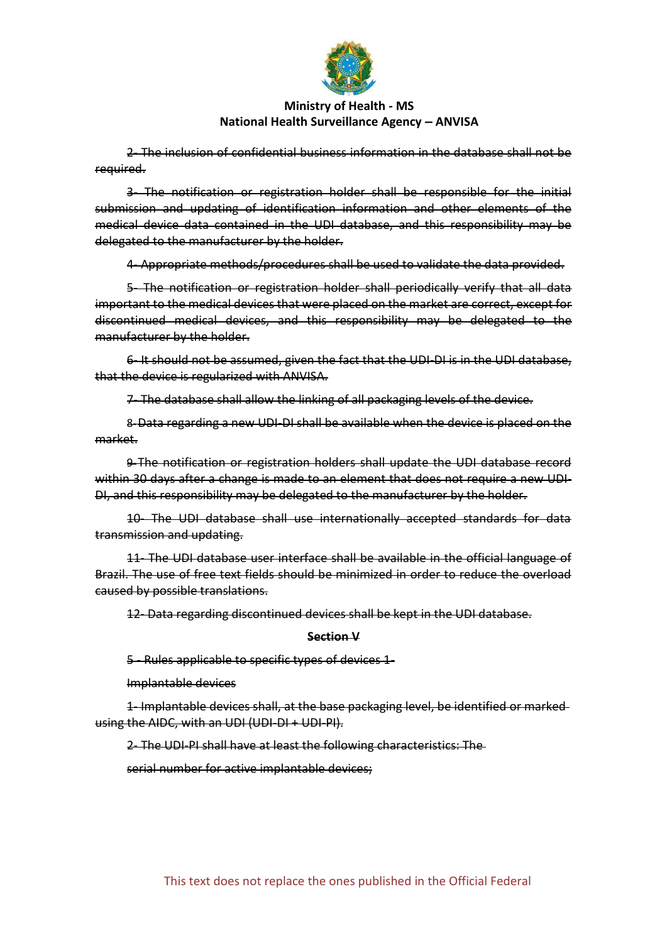

2- The inclusion of confidential business information in the database shall not be required.

3- The notification or registration holder shall be responsible for the initial submission and updating of identification information and other elements of the medical device data contained in the UDI database, and this responsibility may be delegated to the manufacturer by the holder.

4- Appropriate methods/procedures shall be used to validate the data provided.

5- The notification or registration holder shall periodically verify that all data important to the medical devices that were placed on the market are correct, except for discontinued medical devices, and this responsibility may be delegated to the manufacturer by the holder.

6- It should not be assumed, given the fact that the UDI-DI is in the UDI database, that the device is regularized with ANVISA.

7- The database shall allow the linking of all packaging levels of the device.

8-Data regarding a new UDI-DI shall be available when the device is placed on the market.

9-The notification or registration holders shall update the UDI database record within 30 days after a change is made to an element that does not require a new UDI-DI, and this responsibility may be delegated to the manufacturer by the holder.

10- The UDI database shall use internationally accepted standards for data transmission and updating.

11- The UDI database user interface shall be available in the official language of Brazil. The use of free text fields should be minimized in order to reduce the overload caused by possible translations.

12- Data regarding discontinued devices shall be kept in the UDI database.

#### **Section V**

#### 5 - Rules applicable to specific types of devices 1-

Implantable devices

1- Implantable devices shall, at the base packaging level, be identified or marked using the AIDC, with an UDI (UDI-DI + UDI-PI).

2- The UDI-PI shall have at least the following characteristics: The

serial number for active implantable devices;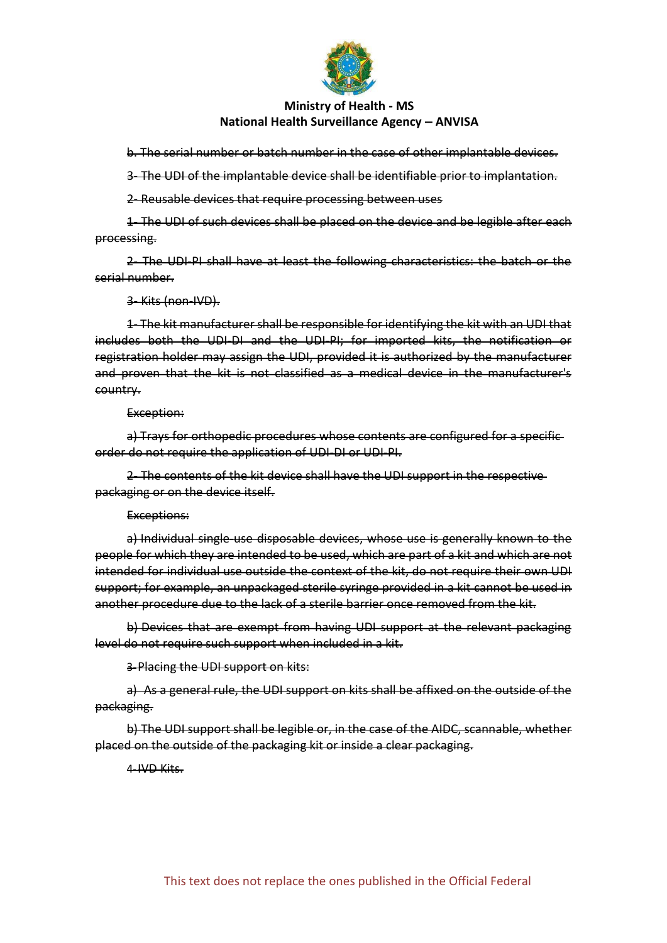

b. The serial number or batch number in the case of other implantable devices.

3- The UDI of the implantable device shall be identifiable prior to implantation.

2- Reusable devices that require processing between uses

1- The UDI of such devices shall be placed on the device and be legible after each processing.

2- The UDI-PI shall have at least the following characteristics: the batch or the serial number.

3- Kits (non-IVD).

1- The kit manufacturer shall be responsible for identifying the kit with an UDI that includes both the UDI-DI and the UDI-PI; for imported kits, the notification or registration holder may assign the UDI, provided it is authorized by the manufacturer and proven that the kit is not classified as a medical device in the manufacturer's country.

#### Exception:

a) Trays for orthopedic procedures whose contents are configured for a specific order do not require the application of UDI-DI or UDI-PI.

2- The contents of the kit device shall have the UDI support in the respective packaging or on the device itself.

#### Exceptions:

a) Individual single-use disposable devices, whose use is generally known to the people for which they are intended to be used, which are part of a kit and which are not intended for individual use outside the context of the kit, do not require their own UDI support; for example, an unpackaged sterile syringe provided in a kit cannot be used in another procedure due to the lack of a sterile barrier once removed from the kit.

b) Devices that are exempt from having UDI support at the relevant packaging level do not require such support when included in a kit.

3-Placing the UDI support on kits:

a) As a general rule, the UDI support on kits shall be affixed on the outside of the packaging.

b) The UDI support shall be legible or, in the case of the AIDC, scannable, whether placed on the outside of the packaging kit or inside a clear packaging.

4-IVD Kits.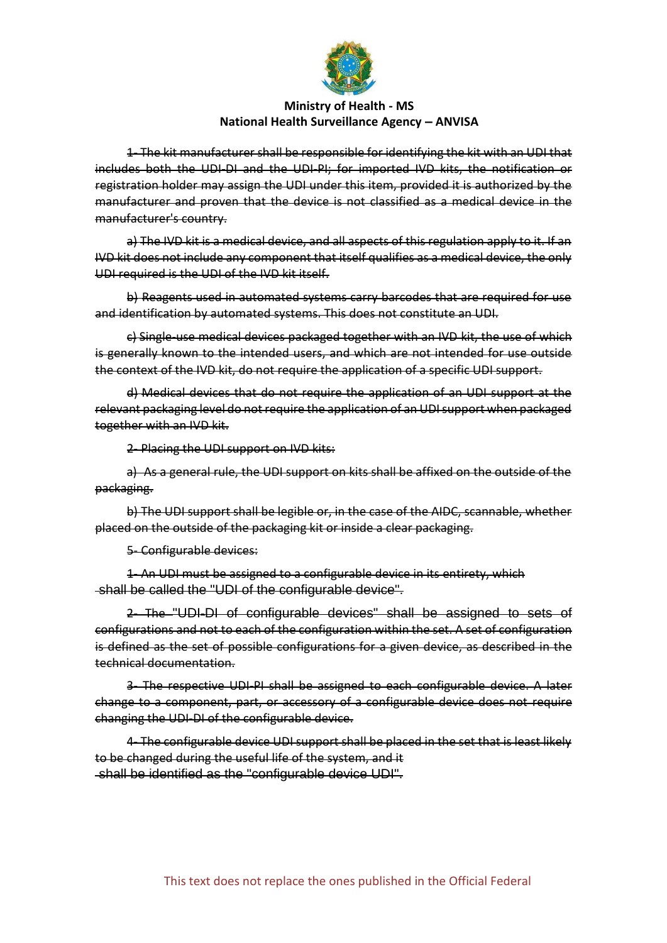

1- The kit manufacturer shall be responsible for identifying the kit with an UDI that includes both the UDI-DI and the UDI-PI; for imported IVD kits, the notification or registration holder may assign the UDI under this item, provided it is authorized by the manufacturer and proven that the device is not classified as a medical device in the manufacturer's country.

a) The IVD kit is a medical device, and all aspects of this regulation apply to it. If an IVD kit does not include any component that itself qualifies as a medical device, the only UDI required is the UDI of the IVD kit itself.

b) Reagents used in automated systems carry barcodes that are required for use and identification by automated systems. This does not constitute an UDI.

c) Single-use medical devices packaged together with an IVD kit, the use of which is generally known to the intended users, and which are not intended for use outside the context of the IVD kit, do not require the application of a specific UDI support.

d) Medical devices that do not require the application of an UDI support at the relevant packaging level do not require the application of an UDI support when packaged together with an IVD kit.

2- Placing the UDI support on IVD kits:

a) As a general rule, the UDI support on kits shall be affixed on the outside of the packaging.

b) The UDI support shall be legible or, in the case of the AIDC, scannable, whether placed on the outside of the packaging kit or inside a clear packaging.

#### 5- Configurable devices:

1- An UDI must be assigned to a configurable device in its entirety, which shall be called the "UDI of the configurable device".

2- The "UDI-DI of configurable devices" shall be assigned to sets of configurations and not to each of the configuration within the set. A set of configuration is defined as the set of possible configurations for a given device, as described in the technical documentation.

3- The respective UDI-PI shall be assigned to each configurable device. A later change to a component, part, or accessory of a configurable device does not require changing the UDI-DI of the configurable device.

4- The configurable device UDI support shall be placed in the set that is least likely to be changed during the useful life of the system, and it shall be identified as the "configurable device UDI".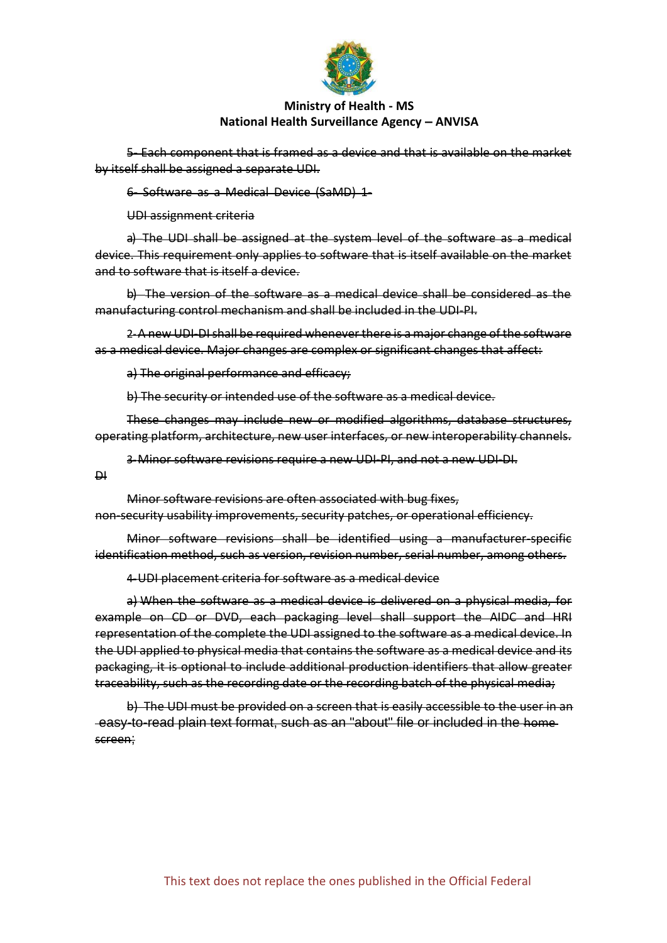

5- Each component that is framed as a device and that is available on the market by itself shall be assigned a separate UDI.

6- Software as a Medical Device (SaMD) 1-

UDI assignment criteria

a) The UDI shall be assigned at the system level of the software as a medical device. This requirement only applies to software that is itself available on the market and to software that is itself a device.

b) The version of the software as a medical device shall be considered as the manufacturing control mechanism and shall be included in the UDI-PI.

2-A new UDI-DI shall be required whenever there is a major change of the software as a medical device. Major changes are complex or significant changes that affect:

a) The original performance and efficacy;

b) The security or intended use of the software as a medical device.

These changes may include new or modified algorithms, database structures, operating platform, architecture, new user interfaces, or new interoperability channels.

3-Minor software revisions require a new UDI-PI, and not a new UDI-DI.

DI

Minor software revisions are often associated with bug fixes, non-security usability improvements, security patches, or operational efficiency.

Minor software revisions shall be identified using a manufacturer-specific identification method, such as version, revision number, serial number, among others.

4-UDI placement criteria for software as a medical device

a) When the software as a medical device is delivered on a physical media, for example on CD or DVD, each packaging level shall support the AIDC and HRI representation of the complete the UDI assigned to the software as a medical device. In the UDI applied to physical media that contains the software as a medical device and its packaging, it is optional to include additional production identifiers that allow greater traceability, such as the recording date or the recording batch of the physical media;

b) The UDI must be provided on a screen that is easily accessible to the user in an easy-to-read plain text format, such as an "about" file or included in the home screen;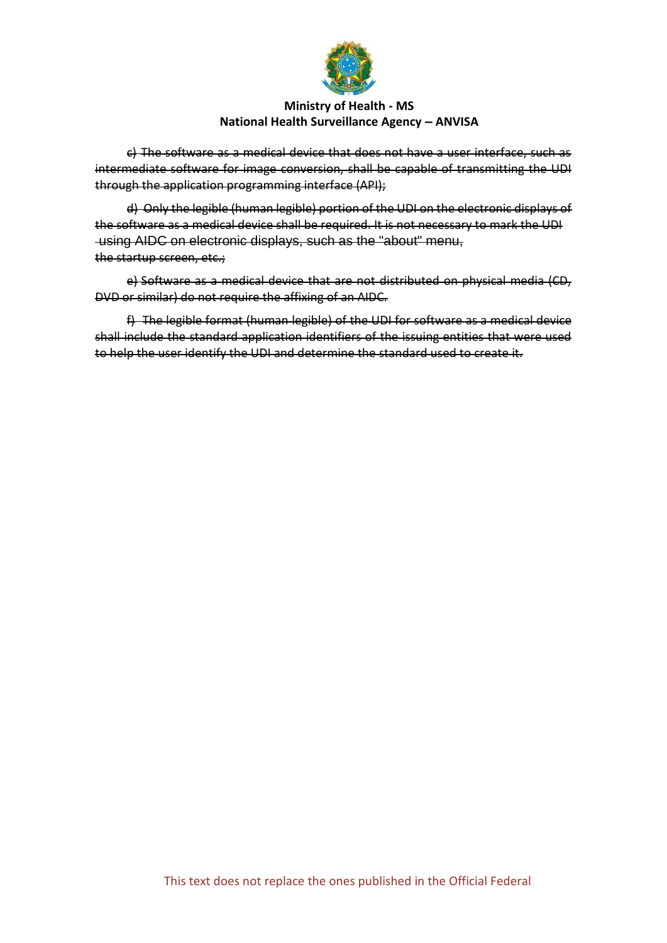

c) The software as a medical device that does not have a user interface, such as intermediate software for image conversion, shall be capable of transmitting the UDI through the application programming interface (API);

d) Only the legible (human legible) portion of the UDI on the electronic displays of the software as a medical device shall be required. It is not necessary to mark the UDI using AIDC on electronic displays, such as the "about" menu, the startup screen, etc.;

e) Software as a medical device that are not distributed on physical media (CD, DVD or similar) do not require the affixing of an AIDC.

f) The legible format (human legible) of the UDI for software as a medical device shall include the standard application identifiers of the issuing entities that were used to help the user identify the UDI and determine the standard used to create it.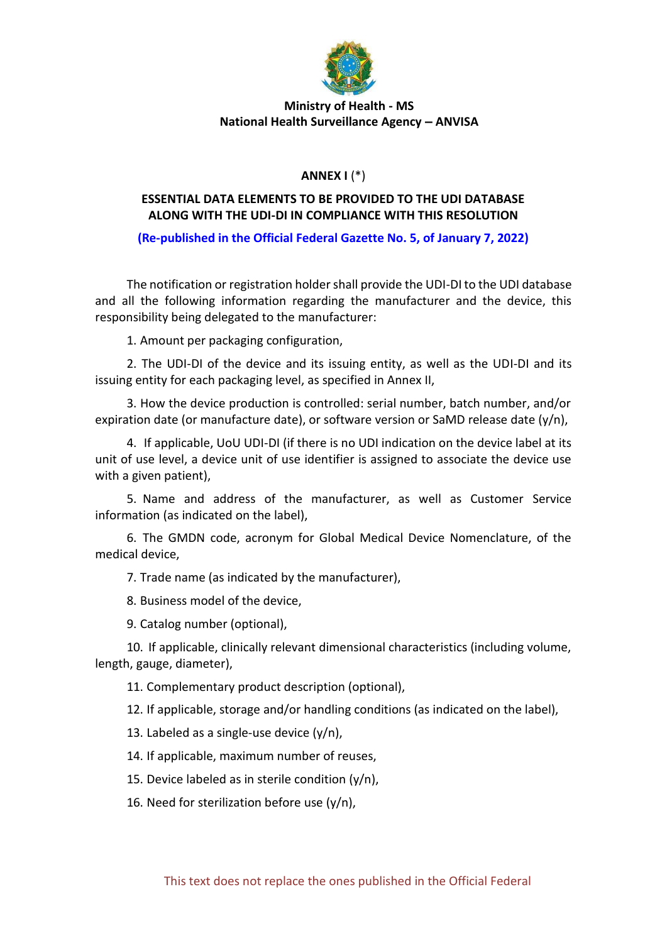

# **ANNEX I** (\*)

# **ESSENTIAL DATA ELEMENTS TO BE PROVIDED TO THE UDI DATABASE ALONG WITH THE UDI-DI IN COMPLIANCE WITH THIS RESOLUTION**

# **(Re-published in the Official Federal Gazette No. 5, of January 7, 2022)**

The notification or registration holder shall provide the UDI-DI to the UDI database and all the following information regarding the manufacturer and the device, this responsibility being delegated to the manufacturer:

1. Amount per packaging configuration,

2. The UDI-DI of the device and its issuing entity, as well as the UDI-DI and its issuing entity for each packaging level, as specified in Annex II,

3. How the device production is controlled: serial number, batch number, and/or expiration date (or manufacture date), or software version or SaMD release date  $(y/n)$ ,

4. If applicable, UoU UDI-DI (if there is no UDI indication on the device label at its unit of use level, a device unit of use identifier is assigned to associate the device use with a given patient),

5. Name and address of the manufacturer, as well as Customer Service information (as indicated on the label),

6. The GMDN code, acronym for Global Medical Device Nomenclature, of the medical device,

7. Trade name (as indicated by the manufacturer),

8. Business model of the device,

9. Catalog number (optional),

10. If applicable, clinically relevant dimensional characteristics (including volume, length, gauge, diameter),

11. Complementary product description (optional),

12. If applicable, storage and/or handling conditions (as indicated on the label),

13. Labeled as a single-use device  $(y/n)$ ,

14. If applicable, maximum number of reuses,

15. Device labeled as in sterile condition  $(y/n)$ ,

16. Need for sterilization before use  $(y/n)$ ,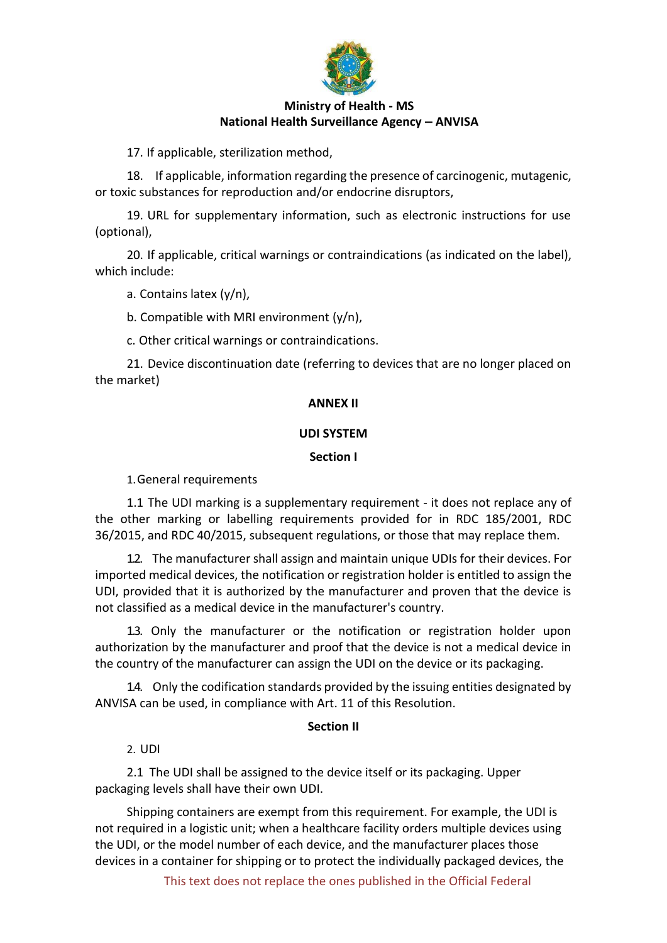

17. If applicable, sterilization method,

18. If applicable, information regarding the presence of carcinogenic, mutagenic, or toxic substances for reproduction and/or endocrine disruptors,

19. URL for supplementary information, such as electronic instructions for use (optional),

20. If applicable, critical warnings or contraindications (as indicated on the label), which include:

a. Contains latex (y/n),

b. Compatible with MRI environment (y/n),

c. Other critical warnings or contraindications.

21. Device discontinuation date (referring to devices that are no longer placed on the market)

### **ANNEX II**

### **UDI SYSTEM**

### **Section I**

1.General requirements

1.1 The UDI marking is a supplementary requirement - it does not replace any of the other marking or labelling requirements provided for in RDC 185/2001, RDC 36/2015, and RDC 40/2015, subsequent regulations, or those that may replace them.

1.2. The manufacturer shall assign and maintain unique UDIs for their devices. For imported medical devices, the notification or registration holder is entitled to assign the UDI, provided that it is authorized by the manufacturer and proven that the device is not classified as a medical device in the manufacturer's country.

1.3. Only the manufacturer or the notification or registration holder upon authorization by the manufacturer and proof that the device is not a medical device in the country of the manufacturer can assign the UDI on the device or its packaging.

1.4. Only the codification standards provided by the issuing entities designated by ANVISA can be used, in compliance with Art. 11 of this Resolution.

### **Section II**

2. UDI

2.1 The UDI shall be assigned to the device itself or its packaging. Upper packaging levels shall have their own UDI.

Shipping containers are exempt from this requirement. For example, the UDI is not required in a logistic unit; when a healthcare facility orders multiple devices using the UDI, or the model number of each device, and the manufacturer places those devices in a container for shipping or to protect the individually packaged devices, the

This text does not replace the ones published in the Official Federal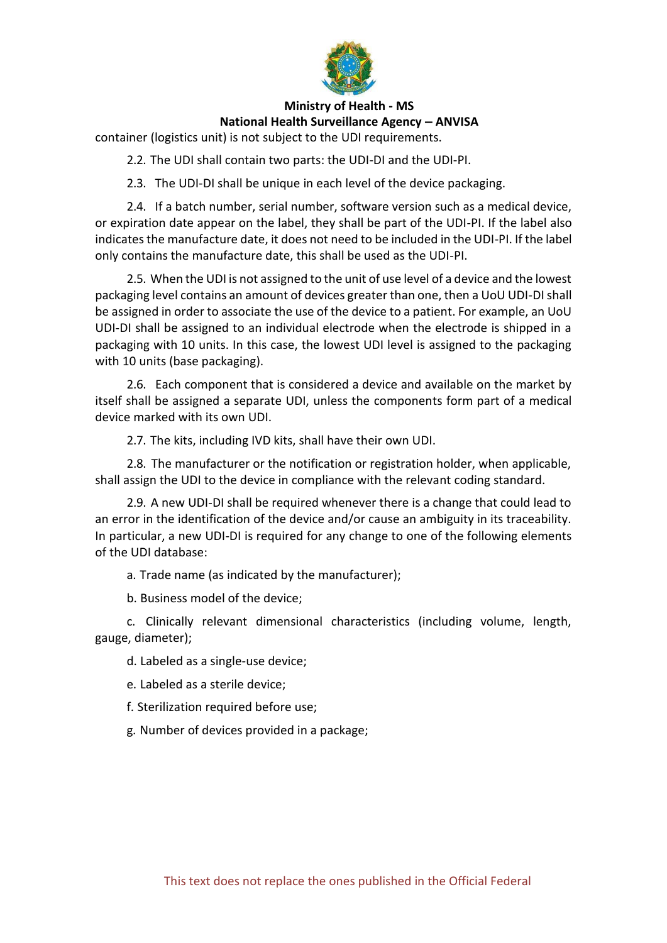

container (logistics unit) is not subject to the UDI requirements.

2.2. The UDI shall contain two parts: the UDI-DI and the UDI-PI.

2.3. The UDI-DI shall be unique in each level of the device packaging.

2.4. If a batch number, serial number, software version such as a medical device, or expiration date appear on the label, they shall be part of the UDI-PI. If the label also indicates the manufacture date, it does not need to be included in the UDI-PI. If the label only contains the manufacture date, this shall be used as the UDI-PI.

2.5. When the UDI is not assigned to the unit of use level of a device and the lowest packaging level contains an amount of devices greater than one, then a UoU UDI-DI shall be assigned in order to associate the use of the device to a patient. For example, an UoU UDI-DI shall be assigned to an individual electrode when the electrode is shipped in a packaging with 10 units. In this case, the lowest UDI level is assigned to the packaging with 10 units (base packaging).

2.6. Each component that is considered a device and available on the market by itself shall be assigned a separate UDI, unless the components form part of a medical device marked with its own UDI.

2.7. The kits, including IVD kits, shall have their own UDI.

2.8. The manufacturer or the notification or registration holder, when applicable, shall assign the UDI to the device in compliance with the relevant coding standard.

2.9. A new UDI-DI shall be required whenever there is a change that could lead to an error in the identification of the device and/or cause an ambiguity in its traceability. In particular, a new UDI-DI is required for any change to one of the following elements of the UDI database:

a. Trade name (as indicated by the manufacturer);

b. Business model of the device;

c. Clinically relevant dimensional characteristics (including volume, length, gauge, diameter);

d. Labeled as a single-use device;

e. Labeled as a sterile device;

f. Sterilization required before use;

g. Number of devices provided in a package;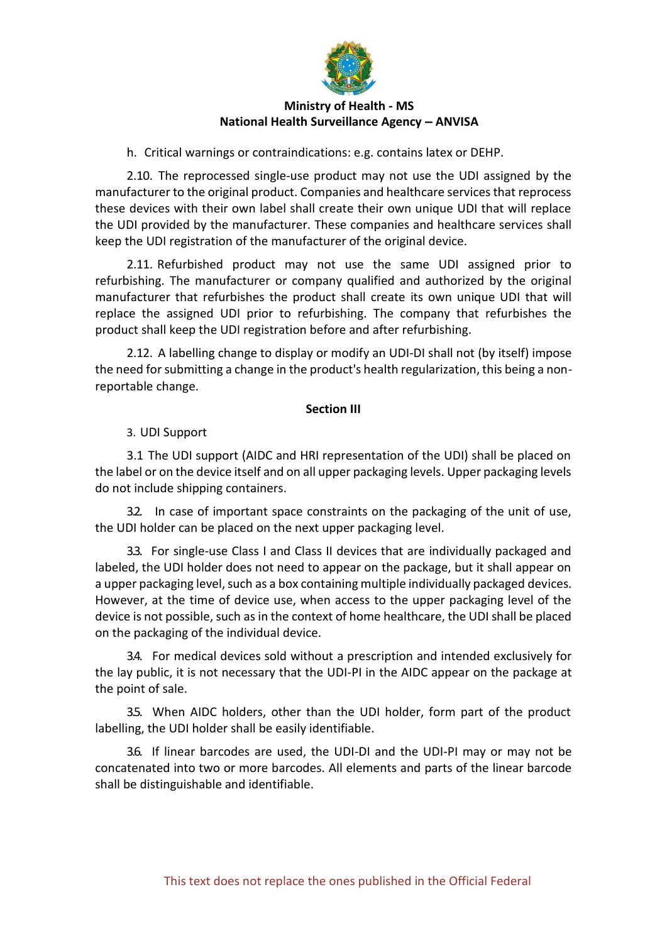

h. Critical warnings or contraindications: e.g. contains latex or DEHP.

2.10. The reprocessed single-use product may not use the UDI assigned by the manufacturer to the original product. Companies and healthcare services that reprocess these devices with their own label shall create their own unique UDI that will replace the UDI provided by the manufacturer. These companies and healthcare services shall keep the UDI registration of the manufacturer of the original device.

2.11. Refurbished product may not use the same UDI assigned prior to refurbishing. The manufacturer or company qualified and authorized by the original manufacturer that refurbishes the product shall create its own unique UDI that will replace the assigned UDI prior to refurbishing. The company that refurbishes the product shall keep the UDI registration before and after refurbishing.

2.12. A labelling change to display or modify an UDI-DI shall not (by itself) impose the need for submitting a change in the product's health regularization, this being a nonreportable change.

### **Section III**

3. UDI Support

3.1 The UDI support (AIDC and HRI representation of the UDI) shall be placed on the label or on the device itself and on all upper packaging levels. Upper packaging levels do not include shipping containers.

3.2. In case of important space constraints on the packaging of the unit of use, the UDI holder can be placed on the next upper packaging level.

3.3. For single-use Class I and Class II devices that are individually packaged and labeled, the UDI holder does not need to appear on the package, but it shall appear on a upper packaging level, such as a box containing multiple individually packaged devices. However, at the time of device use, when access to the upper packaging level of the device is not possible, such as in the context of home healthcare, the UDI shall be placed on the packaging of the individual device.

3.4. For medical devices sold without a prescription and intended exclusively for the lay public, it is not necessary that the UDI-PI in the AIDC appear on the package at the point of sale.

3.5. When AIDC holders, other than the UDI holder, form part of the product labelling, the UDI holder shall be easily identifiable.

3.6. If linear barcodes are used, the UDI-DI and the UDI-PI may or may not be concatenated into two or more barcodes. All elements and parts of the linear barcode shall be distinguishable and identifiable.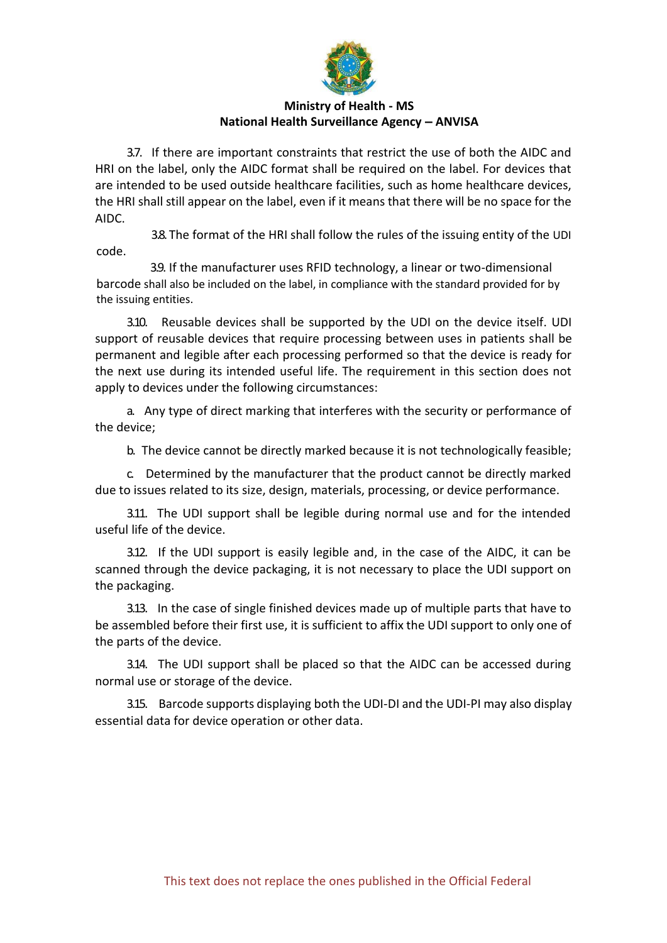

3.7. If there are important constraints that restrict the use of both the AIDC and HRI on the label, only the AIDC format shall be required on the label. For devices that are intended to be used outside healthcare facilities, such as home healthcare devices, the HRI shall still appear on the label, even if it means that there will be no space for the AIDC.

3.8. The format of the HRI shall follow the rules of the issuing entity of the UDI code.

3.9. If the manufacturer uses RFID technology, a linear or two-dimensional barcode shall also be included on the label, in compliance with the standard provided for by the issuing entities.

3.10. Reusable devices shall be supported by the UDI on the device itself. UDI support of reusable devices that require processing between uses in patients shall be permanent and legible after each processing performed so that the device is ready for the next use during its intended useful life. The requirement in this section does not apply to devices under the following circumstances:

a. Any type of direct marking that interferes with the security or performance of the device;

b. The device cannot be directly marked because it is not technologically feasible;

c. Determined by the manufacturer that the product cannot be directly marked due to issues related to its size, design, materials, processing, or device performance.

3.11. The UDI support shall be legible during normal use and for the intended useful life of the device.

3.12. If the UDI support is easily legible and, in the case of the AIDC, it can be scanned through the device packaging, it is not necessary to place the UDI support on the packaging.

3.13. In the case of single finished devices made up of multiple parts that have to be assembled before their first use, it is sufficient to affix the UDI support to only one of the parts of the device.

3.14. The UDI support shall be placed so that the AIDC can be accessed during normal use or storage of the device.

3.15. Barcode supports displaying both the UDI-DI and the UDI-PI may also display essential data for device operation or other data.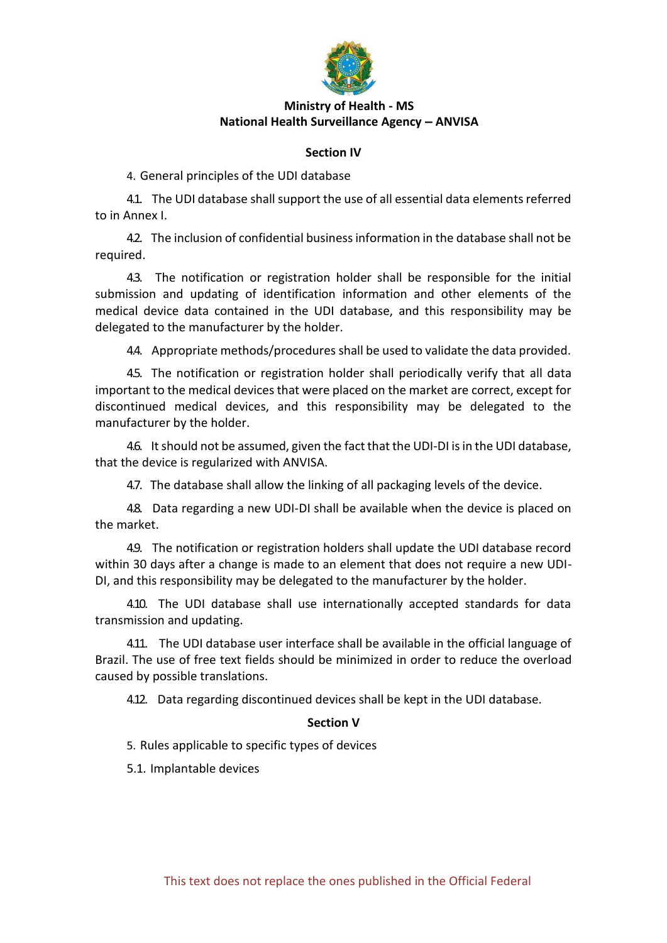

### **Section IV**

4. General principles of the UDI database

4.1. The UDI database shall support the use of all essential data elements referred to in Annex I.

4.2. The inclusion of confidential business information in the database shall not be required.

4.3. The notification or registration holder shall be responsible for the initial submission and updating of identification information and other elements of the medical device data contained in the UDI database, and this responsibility may be delegated to the manufacturer by the holder.

4.4. Appropriate methods/procedures shall be used to validate the data provided.

4.5. The notification or registration holder shall periodically verify that all data important to the medical devices that were placed on the market are correct, except for discontinued medical devices, and this responsibility may be delegated to the manufacturer by the holder.

4.6. It should not be assumed, given the fact that the UDI-DI is in the UDI database, that the device is regularized with ANVISA.

4.7. The database shall allow the linking of all packaging levels of the device.

4.8. Data regarding a new UDI-DI shall be available when the device is placed on the market.

4.9. The notification or registration holders shall update the UDI database record within 30 days after a change is made to an element that does not require a new UDI-DI, and this responsibility may be delegated to the manufacturer by the holder.

4.10. The UDI database shall use internationally accepted standards for data transmission and updating.

4.11. The UDI database user interface shall be available in the official language of Brazil. The use of free text fields should be minimized in order to reduce the overload caused by possible translations.

4.12. Data regarding discontinued devices shall be kept in the UDI database.

### **Section V**

5. Rules applicable to specific types of devices

5.1. Implantable devices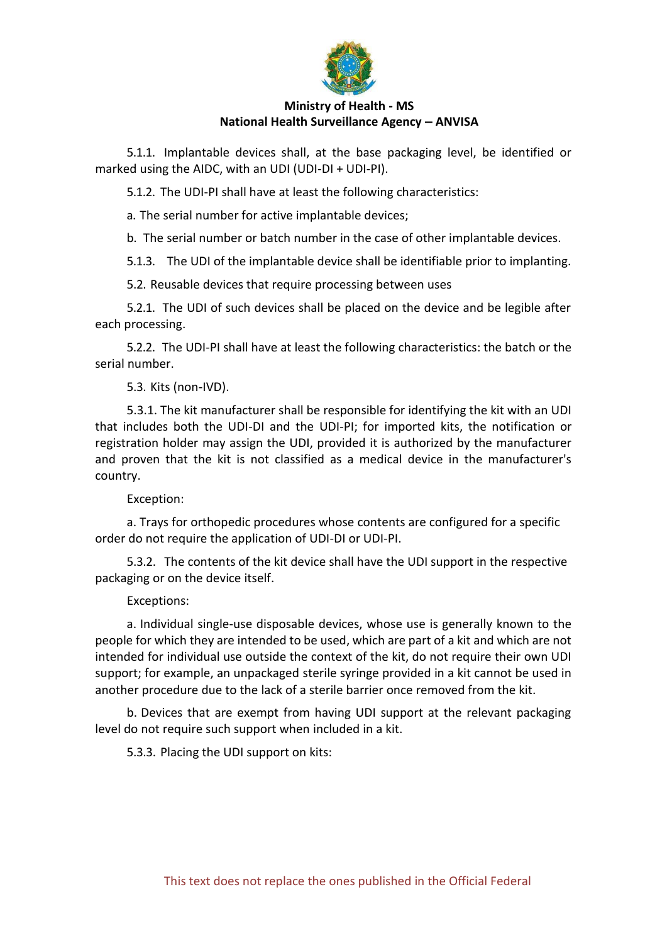

5.1.1. Implantable devices shall, at the base packaging level, be identified or marked using the AIDC, with an UDI (UDI-DI + UDI-PI).

5.1.2. The UDI-PI shall have at least the following characteristics:

a. The serial number for active implantable devices;

b. The serial number or batch number in the case of other implantable devices.

5.1.3. The UDI of the implantable device shall be identifiable prior to implanting.

5.2. Reusable devices that require processing between uses

5.2.1. The UDI of such devices shall be placed on the device and be legible after each processing.

5.2.2. The UDI-PI shall have at least the following characteristics: the batch or the serial number.

### 5.3. Kits (non-IVD).

5.3.1. The kit manufacturer shall be responsible for identifying the kit with an UDI that includes both the UDI-DI and the UDI-PI; for imported kits, the notification or registration holder may assign the UDI, provided it is authorized by the manufacturer and proven that the kit is not classified as a medical device in the manufacturer's country.

### Exception:

a. Trays for orthopedic procedures whose contents are configured for a specific order do not require the application of UDI-DI or UDI-PI.

5.3.2. The contents of the kit device shall have the UDI support in the respective packaging or on the device itself.

### Exceptions:

a. Individual single-use disposable devices, whose use is generally known to the people for which they are intended to be used, which are part of a kit and which are not intended for individual use outside the context of the kit, do not require their own UDI support; for example, an unpackaged sterile syringe provided in a kit cannot be used in another procedure due to the lack of a sterile barrier once removed from the kit.

b. Devices that are exempt from having UDI support at the relevant packaging level do not require such support when included in a kit.

5.3.3. Placing the UDI support on kits: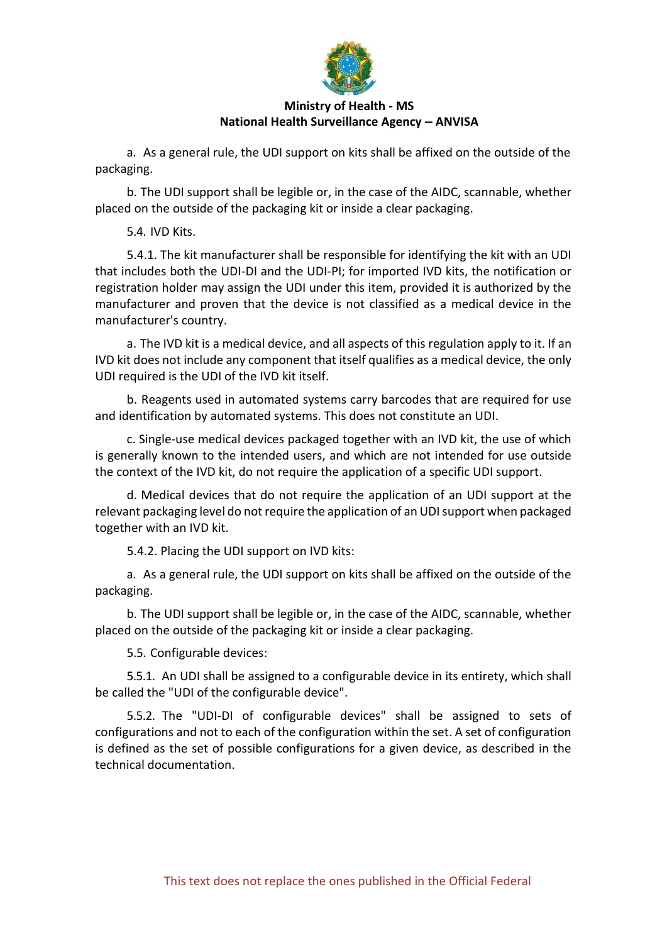

a. As a general rule, the UDI support on kits shall be affixed on the outside of the packaging.

b. The UDI support shall be legible or, in the case of the AIDC, scannable, whether placed on the outside of the packaging kit or inside a clear packaging.

5.4. IVD Kits.

5.4.1. The kit manufacturer shall be responsible for identifying the kit with an UDI that includes both the UDI-DI and the UDI-PI; for imported IVD kits, the notification or registration holder may assign the UDI under this item, provided it is authorized by the manufacturer and proven that the device is not classified as a medical device in the manufacturer's country.

a. The IVD kit is a medical device, and all aspects of this regulation apply to it. If an IVD kit does not include any component that itself qualifies as a medical device, the only UDI required is the UDI of the IVD kit itself.

b. Reagents used in automated systems carry barcodes that are required for use and identification by automated systems. This does not constitute an UDI.

c. Single-use medical devices packaged together with an IVD kit, the use of which is generally known to the intended users, and which are not intended for use outside the context of the IVD kit, do not require the application of a specific UDI support.

d. Medical devices that do not require the application of an UDI support at the relevant packaging level do not require the application of an UDI support when packaged together with an IVD kit.

5.4.2. Placing the UDI support on IVD kits:

a. As a general rule, the UDI support on kits shall be affixed on the outside of the packaging.

b. The UDI support shall be legible or, in the case of the AIDC, scannable, whether placed on the outside of the packaging kit or inside a clear packaging.

5.5. Configurable devices:

5.5.1. An UDI shall be assigned to a configurable device in its entirety, which shall be called the "UDI of the configurable device".

5.5.2. The "UDI-DI of configurable devices" shall be assigned to sets of configurations and not to each of the configuration within the set. A set of configuration is defined as the set of possible configurations for a given device, as described in the technical documentation.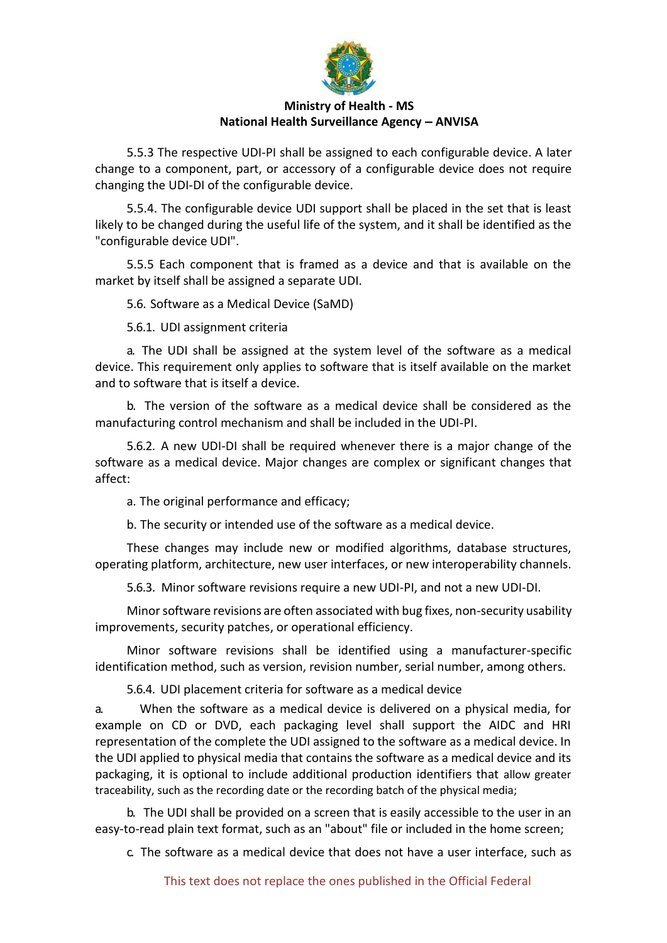

5.5.3 The respective UDI-PI shall be assigned to each configurable device. A later change to a component, part, or accessory of a configurable device does not require changing the UDI-DI of the configurable device.

5.5.4. The configurable device UDI support shall be placed in the set that is least likely to be changed during the useful life of the system, and it shall be identified as the "configurable device UDI".

5.5.5 Each component that is framed as a device and that is available on the market by itself shall be assigned a separate UDI.

5.6. Software as a Medical Device (SaMD)

5.6.1. UDI assignment criteria

a. The UDI shall be assigned at the system level of the software as a medical device. This requirement only applies to software that is itself available on the market and to software that is itself a device.

b. The version of the software as a medical device shall be considered as the manufacturing control mechanism and shall be included in the UDI-PI.

5.6.2. A new UDI-DI shall be required whenever there is a major change of the software as a medical device. Major changes are complex or significant changes that affect:

a. The original performance and efficacy;

b. The security or intended use of the software as a medical device.

These changes may include new or modified algorithms, database structures, operating platform, architecture, new user interfaces, or new interoperability channels.

5.6.3. Minor software revisions require a new UDI-PI, and not a new UDI-DI.

Minor software revisions are often associated with bug fixes, non-security usability improvements, security patches, or operational efficiency.

Minor software revisions shall be identified using a manufacturer-specific identification method, such as version, revision number, serial number, among others.

5.6.4. UDI placement criteria for software as a medical device

a. When the software as a medical device is delivered on a physical media, for example on CD or DVD, each packaging level shall support the AIDC and HRI representation of the complete the UDI assigned to the software as a medical device. In the UDI applied to physical media that contains the software as a medical device and its packaging, it is optional to include additional production identifiers that allow greater traceability, such as the recording date or the recording batch of the physical media;

b. The UDI shall be provided on a screen that is easily accessible to the user in an easy-to-read plain text format, such as an "about" file or included in the home screen;

c. The software as a medical device that does not have a user interface, such as